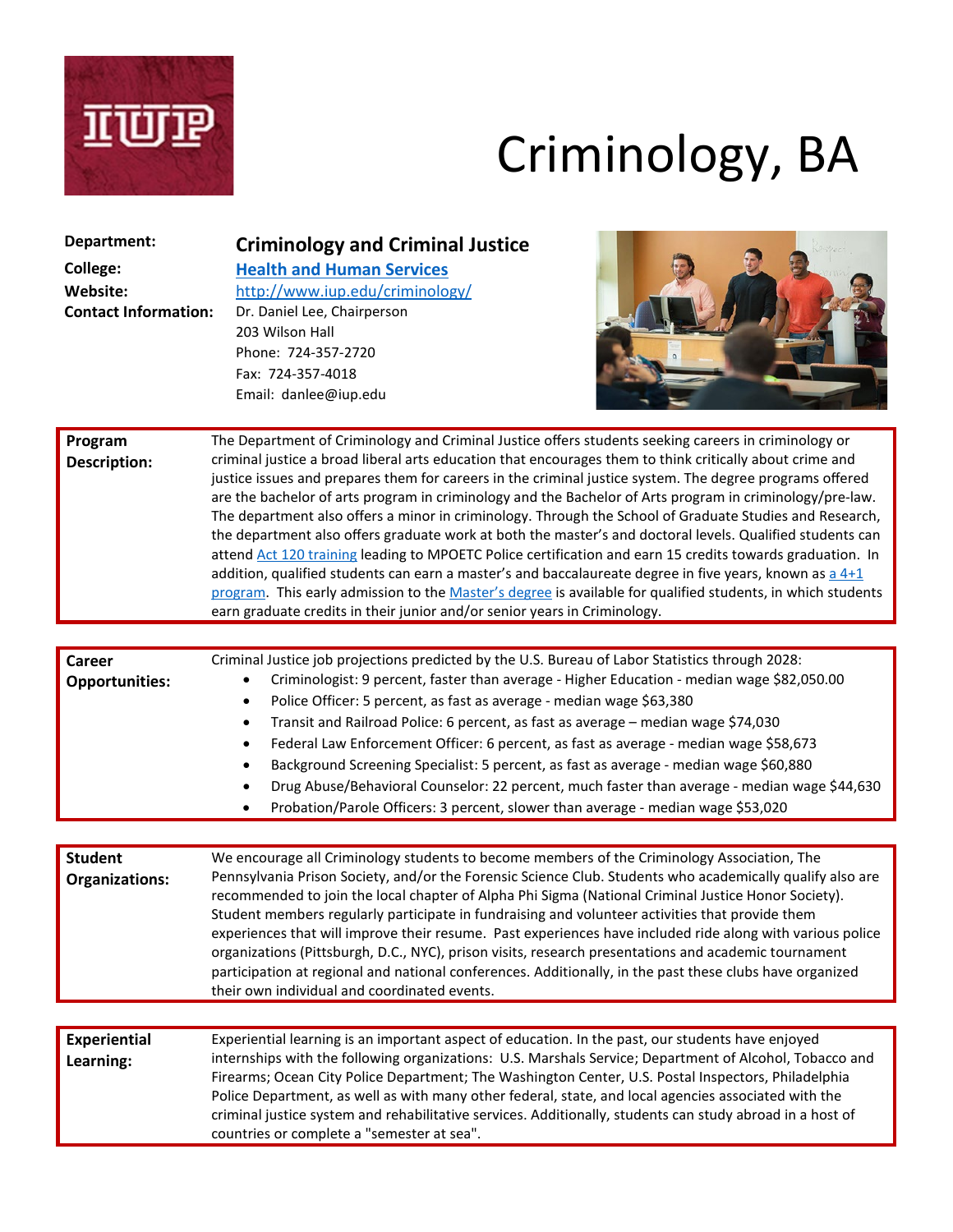

# Criminology, BA

| Department:<br><b>College:</b><br>Website:<br><b>Contact Information:</b> | <b>Criminology and Criminal Justice</b><br><b>Health and Human Services</b><br>http://www.iup.edu/criminology/<br>Dr. Daniel Lee, Chairperson<br>203 Wilson Hall<br>Phone: 724-357-2720<br>Fax: 724-357-4018<br>Email: danlee@iup.edu                                                                                                                                                                                                                                                                                                                                                                                                                                                                                                                                                                                                                                                                                                                                                                                                                                                  |
|---------------------------------------------------------------------------|----------------------------------------------------------------------------------------------------------------------------------------------------------------------------------------------------------------------------------------------------------------------------------------------------------------------------------------------------------------------------------------------------------------------------------------------------------------------------------------------------------------------------------------------------------------------------------------------------------------------------------------------------------------------------------------------------------------------------------------------------------------------------------------------------------------------------------------------------------------------------------------------------------------------------------------------------------------------------------------------------------------------------------------------------------------------------------------|
| Program<br><b>Description:</b>                                            | The Department of Criminology and Criminal Justice offers students seeking careers in criminology or<br>criminal justice a broad liberal arts education that encourages them to think critically about crime and<br>justice issues and prepares them for careers in the criminal justice system. The degree programs offered<br>are the bachelor of arts program in criminology and the Bachelor of Arts program in criminology/pre-law.<br>The department also offers a minor in criminology. Through the School of Graduate Studies and Research,<br>the department also offers graduate work at both the master's and doctoral levels. Qualified students can<br>attend Act 120 training leading to MPOETC Police certification and earn 15 credits towards graduation. In<br>addition, qualified students can earn a master's and baccalaureate degree in five years, known as $a$ 4+1<br>program. This early admission to the Master's degree is available for qualified students, in which students<br>earn graduate credits in their junior and/or senior years in Criminology. |
| <b>Career</b><br><b>Opportunities:</b>                                    | Criminal Justice job projections predicted by the U.S. Bureau of Labor Statistics through 2028:<br>Criminologist: 9 percent, faster than average - Higher Education - median wage \$82,050.00                                                                                                                                                                                                                                                                                                                                                                                                                                                                                                                                                                                                                                                                                                                                                                                                                                                                                          |
|                                                                           | Police Officer: 5 percent, as fast as average - median wage \$63,380<br>$\bullet$<br>Transit and Railroad Police: 6 percent, as fast as average - median wage \$74,030<br>٠<br>Federal Law Enforcement Officer: 6 percent, as fast as average - median wage \$58,673<br>٠<br>Background Screening Specialist: 5 percent, as fast as average - median wage \$60,880<br>Drug Abuse/Behavioral Counselor: 22 percent, much faster than average - median wage \$44,630<br>Probation/Parole Officers: 3 percent, slower than average - median wage \$53,020                                                                                                                                                                                                                                                                                                                                                                                                                                                                                                                                 |
|                                                                           |                                                                                                                                                                                                                                                                                                                                                                                                                                                                                                                                                                                                                                                                                                                                                                                                                                                                                                                                                                                                                                                                                        |
| <b>Student</b><br><b>Organizations:</b>                                   | We encourage all Criminology students to become members of the Criminology Association, The<br>Pennsylvania Prison Society, and/or the Forensic Science Club. Students who academically qualify also are<br>recommended to join the local chapter of Alpha Phi Sigma (National Criminal Justice Honor Society).<br>Student members regularly participate in fundraising and volunteer activities that provide them<br>experiences that will improve their resume. Past experiences have included ride along with various police<br>organizations (Pittsburgh, D.C., NYC), prison visits, research presentations and academic tournament<br>participation at regional and national conferences. Additionally, in the past these clubs have organized<br>their own individual and coordinated events.                                                                                                                                                                                                                                                                                    |
|                                                                           |                                                                                                                                                                                                                                                                                                                                                                                                                                                                                                                                                                                                                                                                                                                                                                                                                                                                                                                                                                                                                                                                                        |
| <b>Experiential</b><br>Learning:                                          | Experiential learning is an important aspect of education. In the past, our students have enjoyed<br>internships with the following organizations: U.S. Marshals Service; Department of Alcohol, Tobacco and<br>Firearms; Ocean City Police Department; The Washington Center, U.S. Postal Inspectors, Philadelphia<br>Police Department, as well as with many other federal, state, and local agencies associated with the<br>criminal justice system and rehabilitative services. Additionally, students can study abroad in a host of<br>countries or complete a "semester at sea".                                                                                                                                                                                                                                                                                                                                                                                                                                                                                                 |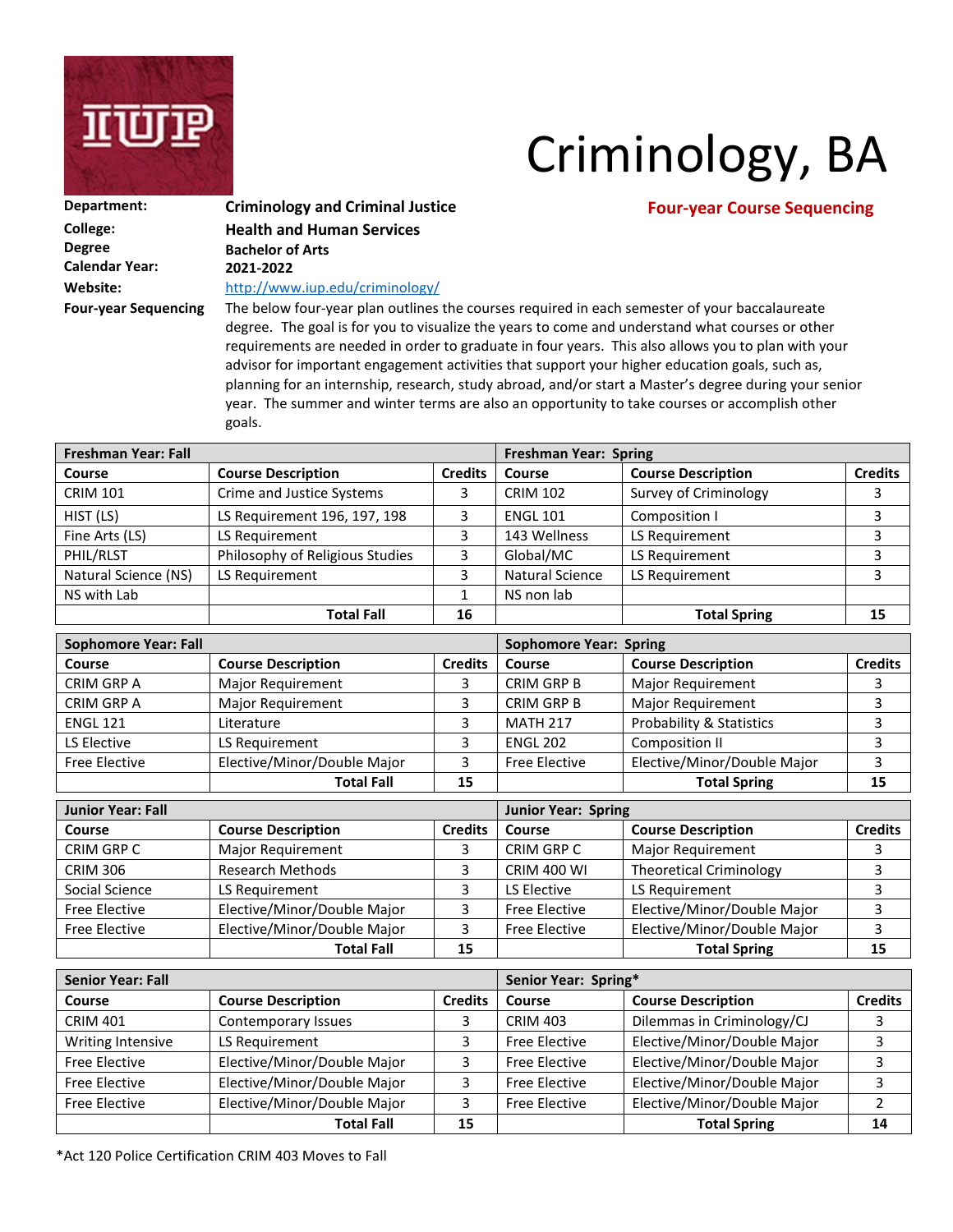

## Criminology, BA

| Department:                 | <b>Criminology and Criminal Justi</b> |
|-----------------------------|---------------------------------------|
| College:                    | <b>Health and Human Services</b>      |
| Degree                      | <b>Bachelor of Arts</b>               |
| Calendar Year:              | 2021-2022                             |
| Website:                    | http://www.iup.edu/criminology/       |
| <b>Four-year Sequencing</b> | The below four-year plan outlines     |
|                             |                                       |

### **Department: CRIMINOLOGY And CRIMINAL JUSTICE Four-year Course Sequencing**

the courses required in each semester of your baccalaureate degree. The goal is for you to visualize the years to come and understand what courses or other requirements are needed in order to graduate in four years. This also allows you to plan with your advisor for important engagement activities that support your higher education goals, such as, planning for an internship, research, study abroad, and/or start a Master's degree during your senior year. The summer and winter terms are also an opportunity to take courses or accomplish other goals.

| <b>Freshman Year: Fall</b> |                                 |                | <b>Freshman Year: Spring</b> |                           |                |  |  |
|----------------------------|---------------------------------|----------------|------------------------------|---------------------------|----------------|--|--|
| Course                     | <b>Course Description</b>       | <b>Credits</b> | Course                       | <b>Course Description</b> | <b>Credits</b> |  |  |
| <b>CRIM 101</b>            | Crime and Justice Systems       |                | <b>CRIM 102</b>              | Survey of Criminology     |                |  |  |
| HIST (LS)                  | LS Requirement 196, 197, 198    |                | <b>ENGL 101</b>              | Composition I             |                |  |  |
| Fine Arts (LS)             | LS Requirement                  |                | 143 Wellness                 | LS Requirement            |                |  |  |
| PHIL/RLST                  | Philosophy of Religious Studies |                | Global/MC                    | LS Requirement            |                |  |  |
| Natural Science (NS)       | LS Requirement                  |                | Natural Science              | LS Requirement            |                |  |  |
| NS with Lab                |                                 |                | NS non lab                   |                           |                |  |  |
|                            | <b>Total Fall</b>               | 16             |                              | <b>Total Spring</b>       |                |  |  |

| <b>Sophomore Year: Fall</b> |                             |                | <b>Sophomore Year: Spring</b> |                             |                |  |  |
|-----------------------------|-----------------------------|----------------|-------------------------------|-----------------------------|----------------|--|--|
| Course                      | <b>Course Description</b>   | <b>Credits</b> | Course                        | <b>Course Description</b>   | <b>Credits</b> |  |  |
| CRIM GRP A                  | <b>Major Requirement</b>    |                | CRIM GRP B                    | <b>Major Requirement</b>    |                |  |  |
| CRIM GRP A                  | Major Requirement           |                | CRIM GRP B                    | <b>Major Requirement</b>    |                |  |  |
| <b>ENGL 121</b>             | Literature                  |                | <b>MATH 217</b>               | Probability & Statistics    |                |  |  |
| LS Elective                 | LS Requirement              |                | <b>ENGL 202</b>               | Composition II              |                |  |  |
| <b>Free Elective</b>        | Elective/Minor/Double Major |                | <b>Free Elective</b>          | Elective/Minor/Double Major |                |  |  |
|                             | <b>Total Fall</b>           | 15             |                               | <b>Total Spring</b>         | 15             |  |  |

| <b>Junior Year: Fall</b> |                             |                | <b>Junior Year: Spring</b> |                                |                |  |  |
|--------------------------|-----------------------------|----------------|----------------------------|--------------------------------|----------------|--|--|
| Course                   | <b>Course Description</b>   | <b>Credits</b> | Course                     | <b>Course Description</b>      | <b>Credits</b> |  |  |
| CRIM GRP C               | <b>Major Requirement</b>    |                | CRIM GRP C                 | Major Requirement              |                |  |  |
| <b>CRIM 306</b>          | <b>Research Methods</b>     |                | <b>CRIM 400 WI</b>         | <b>Theoretical Criminology</b> |                |  |  |
| Social Science           | LS Requirement              |                | LS Elective                | LS Requirement                 |                |  |  |
| <b>Free Elective</b>     | Elective/Minor/Double Major |                | <b>Free Elective</b>       | Elective/Minor/Double Major    |                |  |  |
| <b>Free Elective</b>     | Elective/Minor/Double Major |                | <b>Free Elective</b>       | Elective/Minor/Double Major    |                |  |  |
|                          | <b>Total Fall</b>           | 15             |                            | <b>Total Spring</b>            | 15             |  |  |

| <b>Senior Year: Fall</b> |                             |                | Senior Year: Spring* |                             |                |  |  |
|--------------------------|-----------------------------|----------------|----------------------|-----------------------------|----------------|--|--|
| Course                   | <b>Course Description</b>   | <b>Credits</b> | <b>Course</b>        | <b>Course Description</b>   | <b>Credits</b> |  |  |
| <b>CRIM 401</b>          | Contemporary Issues         |                | <b>CRIM 403</b>      | Dilemmas in Criminology/CJ  |                |  |  |
| Writing Intensive        | LS Requirement              |                | <b>Free Elective</b> | Elective/Minor/Double Major |                |  |  |
| <b>Free Elective</b>     | Elective/Minor/Double Major | $\mathbf{r}$   | <b>Free Elective</b> | Elective/Minor/Double Major |                |  |  |
| <b>Free Elective</b>     | Elective/Minor/Double Major |                | <b>Free Elective</b> | Elective/Minor/Double Major |                |  |  |
| <b>Free Elective</b>     | Elective/Minor/Double Major |                | <b>Free Elective</b> | Elective/Minor/Double Major |                |  |  |
|                          | <b>Total Fall</b>           | 15             |                      | <b>Total Spring</b>         | 14             |  |  |